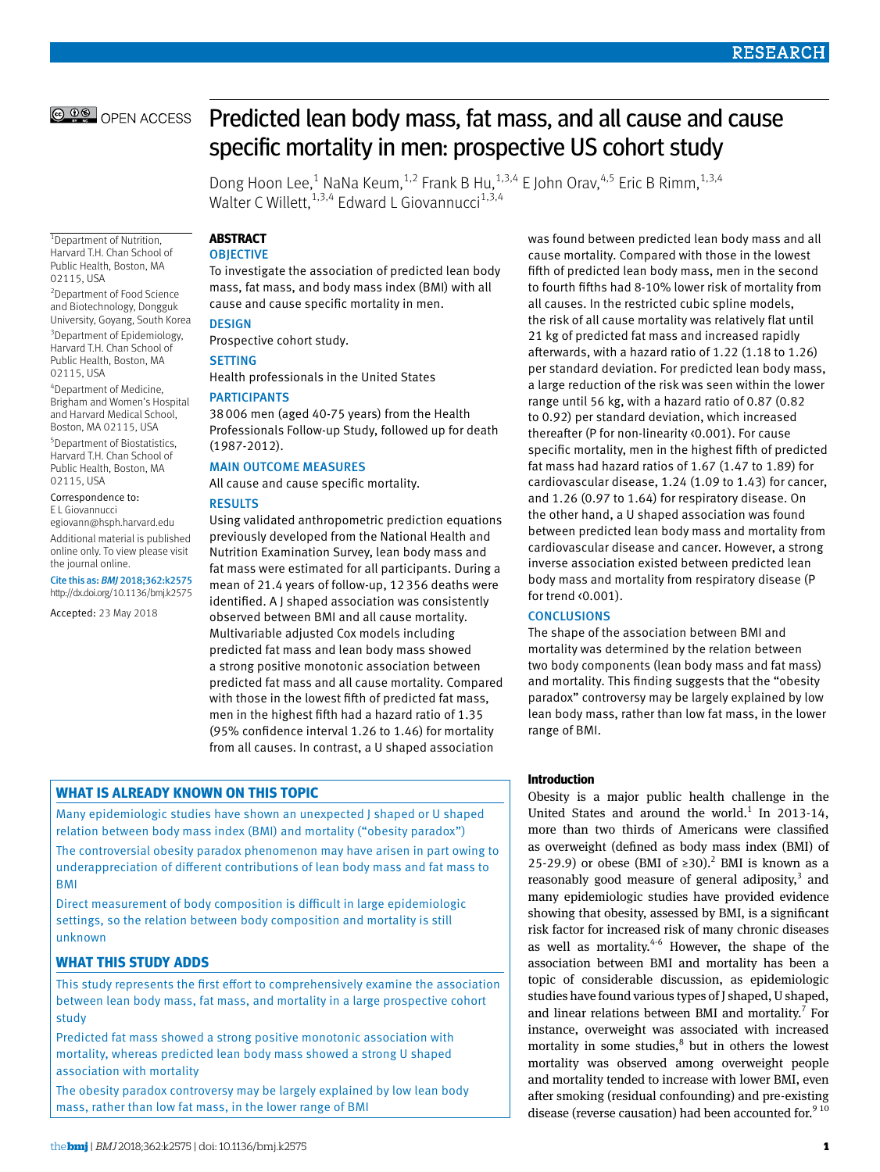# © 0 OPEN ACCESS

<sup>1</sup>Department of Nutrition, Harvard T.H. Chan School of Public Health, Boston, MA

2 Department of Food Science and Biotechnology, Dongguk University, Goyang, South Korea <sup>3</sup>Department of Epidemiology, Harvard T.H. Chan School of Public Health, Boston, MA

4 Department of Medicine, Brigham and Women's Hospital and Harvard Medical School, Boston, MA 02115, USA 5 Department of Biostatistics, Harvard T.H. Chan School of Public Health, Boston, MA

[egiovann@hsph.harvard.edu](mailto:egiovann@hsph.harvard.edu) Additional material is published online only. To view please visit

Cite this as: *BMJ* 2018;362:k2575 http://dx.doi.org/10.1136/bmj.k2575 Accepted: 23 May 2018

02115, USA

02115, USA

02115, USA Correspondence to: E L Giovannucci

the journal online.

# Predicted lean body mass, fat mass, and all cause and cause specific mortality in men: prospective US cohort study

Dong Hoon Lee,<sup>1</sup> NaNa Keum,<sup>1,2</sup> Frank B Hu,<sup>1,3,4</sup> E John Orav,<sup>4,5</sup> Eric B Rimm,<sup>1,3,4</sup> Walter C Willett,  $1,3,4$  Edward L Giovannucci $1,3,4$ 

# **ABSTRACT**

# **OBJECTIVE**

To investigate the association of predicted lean body mass, fat mass, and body mass index (BMI) with all cause and cause specific mortality in men.

# **DESIGN**

Prospective cohort study.

#### **SETTING**

Health professionals in the United States

#### **PARTICIPANTS**

38006 men (aged 40-75 years) from the Health Professionals Follow-up Study, followed up for death (1987-2012).

#### Main outcome measures

All cause and cause specific mortality.

## **RESULTS**

Using validated anthropometric prediction equations previously developed from the National Health and Nutrition Examination Survey, lean body mass and fat mass were estimated for all participants. During a mean of 21.4 years of follow-up, 12356 deaths were identified. A J shaped association was consistently observed between BMI and all cause mortality. Multivariable adjusted Cox models including predicted fat mass and lean body mass showed a strong positive monotonic association between predicted fat mass and all cause mortality. Compared with those in the lowest fifth of predicted fat mass, men in the highest fifth had a hazard ratio of 1.35 (95% confidence interval 1.26 to 1.46) for mortality from all causes. In contrast, a U shaped association

#### **What is already known on this topic**

Many epidemiologic studies have shown an unexpected J shaped or U shaped relation between body mass index (BMI) and mortality ("obesity paradox") The controversial obesity paradox phenomenon may have arisen in part owing to underappreciation of different contributions of lean body mass and fat mass to BMI

Direct measurement of body composition is difficult in large epidemiologic settings, so the relation between body composition and mortality is still unknown

## **What this study adds**

This study represents the first effort to comprehensively examine the association between lean body mass, fat mass, and mortality in a large prospective cohort study

Predicted fat mass showed a strong positive monotonic association with mortality, whereas predicted lean body mass showed a strong U shaped association with mortality

The obesity paradox controversy may be largely explained by low lean body mass, rather than low fat mass, in the lower range of BMI

was found between predicted lean body mass and all cause mortality. Compared with those in the lowest fifth of predicted lean body mass, men in the second to fourth fifths had 8-10% lower risk of mortality from all causes. In the restricted cubic spline models, the risk of all cause mortality was relatively flat until 21 kg of predicted fat mass and increased rapidly afterwards, with a hazard ratio of 1.22 (1.18 to 1.26) per standard deviation. For predicted lean body mass, a large reduction of the risk was seen within the lower range until 56 kg, with a hazard ratio of 0.87 (0.82 to 0.92) per standard deviation, which increased thereafter (P for non-linearity <0.001). For cause specific mortality, men in the highest fifth of predicted fat mass had hazard ratios of 1.67 (1.47 to 1.89) for cardiovascular disease, 1.24 (1.09 to 1.43) for cancer, and 1.26 (0.97 to 1.64) for respiratory disease. On the other hand, a U shaped association was found between predicted lean body mass and mortality from cardiovascular disease and cancer. However, a strong inverse association existed between predicted lean body mass and mortality from respiratory disease (P for trend <0.001).

## **CONCLUSIONS**

The shape of the association between BMI and mortality was determined by the relation between two body components (lean body mass and fat mass) and mortality. This finding suggests that the "obesity paradox" controversy may be largely explained by low lean body mass, rather than low fat mass, in the lower range of BMI.

## **Introduction**

Obesity is a major public health challenge in the United States and around the world. $1$  In 2013-14, more than two thirds of Americans were classified as overweight (defined as body mass index (BMI) of 25-29.9) or obese (BMI of  $\geq 30$ ).<sup>2</sup> BMI is known as a reasonably good measure of general adiposity, $3$  and many epidemiologic studies have provided evidence showing that obesity, assessed by BMI, is a significant risk factor for increased risk of many chronic diseases as well as mortality. $4-6$  However, the shape of the association between BMI and mortality has been a topic of considerable discussion, as epidemiologic studies have found various types of J shaped, U shaped, and linear relations between BMI and mortality.<sup>7</sup> For instance, overweight was associated with increased mortality in some studies, $8$  but in others the lowest mortality was observed among overweight people and mortality tended to increase with lower BMI, even after smoking (residual confounding) and pre-existing disease (reverse causation) had been accounted for. $910$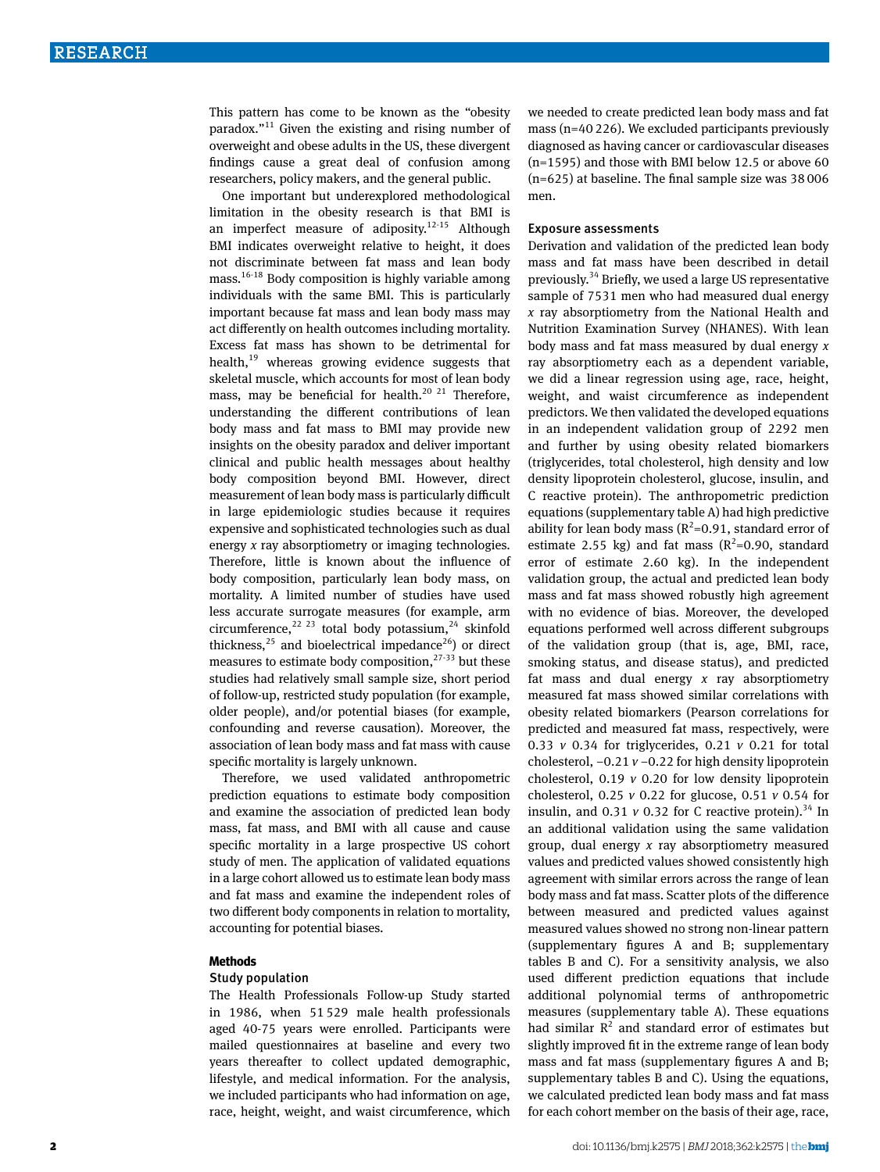This pattern has come to be known as the "obesity paradox."<sup>11</sup> Given the existing and rising number of overweight and obese adults in the US, these divergent findings cause a great deal of confusion among researchers, policy makers, and the general public.

One important but underexplored methodological limitation in the obesity research is that BMI is an imperfect measure of adiposity.<sup>12-15</sup> Although BMI indicates overweight relative to height, it does not discriminate between fat mass and lean body mass.<sup>16-18</sup> Body composition is highly variable among individuals with the same BMI. This is particularly important because fat mass and lean body mass may act differently on health outcomes including mortality. Excess fat mass has shown to be detrimental for health, $19$  whereas growing evidence suggests that skeletal muscle, which accounts for most of lean body mass, may be beneficial for health.<sup>20 21</sup> Therefore, understanding the different contributions of lean body mass and fat mass to BMI may provide new insights on the obesity paradox and deliver important clinical and public health messages about healthy body composition beyond BMI. However, direct measurement of lean body mass is particularly difficult in large epidemiologic studies because it requires expensive and sophisticated technologies such as dual energy *x* ray absorptiometry or imaging technologies. Therefore, little is known about the influence of body composition, particularly lean body mass, on mortality. A limited number of studies have used less accurate surrogate measures (for example, arm circumference,<sup>22 23</sup> total body potassium,<sup>24</sup> skinfold thickness,  $25$  and bioelectrical impedance  $26$ ) or direct measures to estimate body composition, $27-33$  but these studies had relatively small sample size, short period of follow-up, restricted study population (for example, older people), and/or potential biases (for example, confounding and reverse causation). Moreover, the association of lean body mass and fat mass with cause specific mortality is largely unknown.

Therefore, we used validated anthropometric prediction equations to estimate body composition and examine the association of predicted lean body mass, fat mass, and BMI with all cause and cause specific mortality in a large prospective US cohort study of men. The application of validated equations in a large cohort allowed us to estimate lean body mass and fat mass and examine the independent roles of two different body components in relation to mortality, accounting for potential biases.

### **Methods**

#### Study population

The Health Professionals Follow-up Study started in 1986, when 51 529 male health professionals aged 40-75 years were enrolled. Participants were mailed questionnaires at baseline and every two years thereafter to collect updated demographic, lifestyle, and medical information. For the analysis, we included participants who had information on age, race, height, weight, and waist circumference, which we needed to create predicted lean body mass and fat mass (n=40 226). We excluded participants previously diagnosed as having cancer or cardiovascular diseases (n=1595) and those with BMI below 12.5 or above 60 (n=625) at baseline. The final sample size was 38 006 men.

#### Exposure assessments

Derivation and validation of the predicted lean body mass and fat mass have been described in detail previously.34 Briefly, we used a large US representative sample of 7531 men who had measured dual energy *x* ray absorptiometry from the National Health and Nutrition Examination Survey (NHANES). With lean body mass and fat mass measured by dual energy *x* ray absorptiometry each as a dependent variable, we did a linear regression using age, race, height, weight, and waist circumference as independent predictors. We then validated the developed equations in an independent validation group of 2292 men and further by using obesity related biomarkers (triglycerides, total cholesterol, high density and low density lipoprotein cholesterol, glucose, insulin, and C reactive protein). The anthropometric prediction equations (supplementary table A) had high predictive ability for lean body mass ( $R^2$ =0.91, standard error of estimate 2.55 kg) and fat mass ( $R^2$ =0.90, standard error of estimate 2.60 kg). In the independent validation group, the actual and predicted lean body mass and fat mass showed robustly high agreement with no evidence of bias. Moreover, the developed equations performed well across different subgroups of the validation group (that is, age, BMI, race, smoking status, and disease status), and predicted fat mass and dual energy *x* ray absorptiometry measured fat mass showed similar correlations with obesity related biomarkers (Pearson correlations for predicted and measured fat mass, respectively, were 0.33 *v* 0.34 for triglycerides, 0.21 *v* 0.21 for total cholesterol, −0.21 *v* −0.22 for high density lipoprotein cholesterol, 0.19 *v* 0.20 for low density lipoprotein cholesterol, 0.25 *v* 0.22 for glucose, 0.51 *v* 0.54 for insulin, and 0.31  $\nu$  0.32 for C reactive protein).<sup>34</sup> In an additional validation using the same validation group, dual energy *x* ray absorptiometry measured values and predicted values showed consistently high agreement with similar errors across the range of lean body mass and fat mass. Scatter plots of the difference between measured and predicted values against measured values showed no strong non-linear pattern (supplementary figures A and B; supplementary tables B and C). For a sensitivity analysis, we also used different prediction equations that include additional polynomial terms of anthropometric measures (supplementary table A). These equations had similar  $R^2$  and standard error of estimates but slightly improved fit in the extreme range of lean body mass and fat mass (supplementary figures A and B; supplementary tables B and C). Using the equations, we calculated predicted lean body mass and fat mass for each cohort member on the basis of their age, race,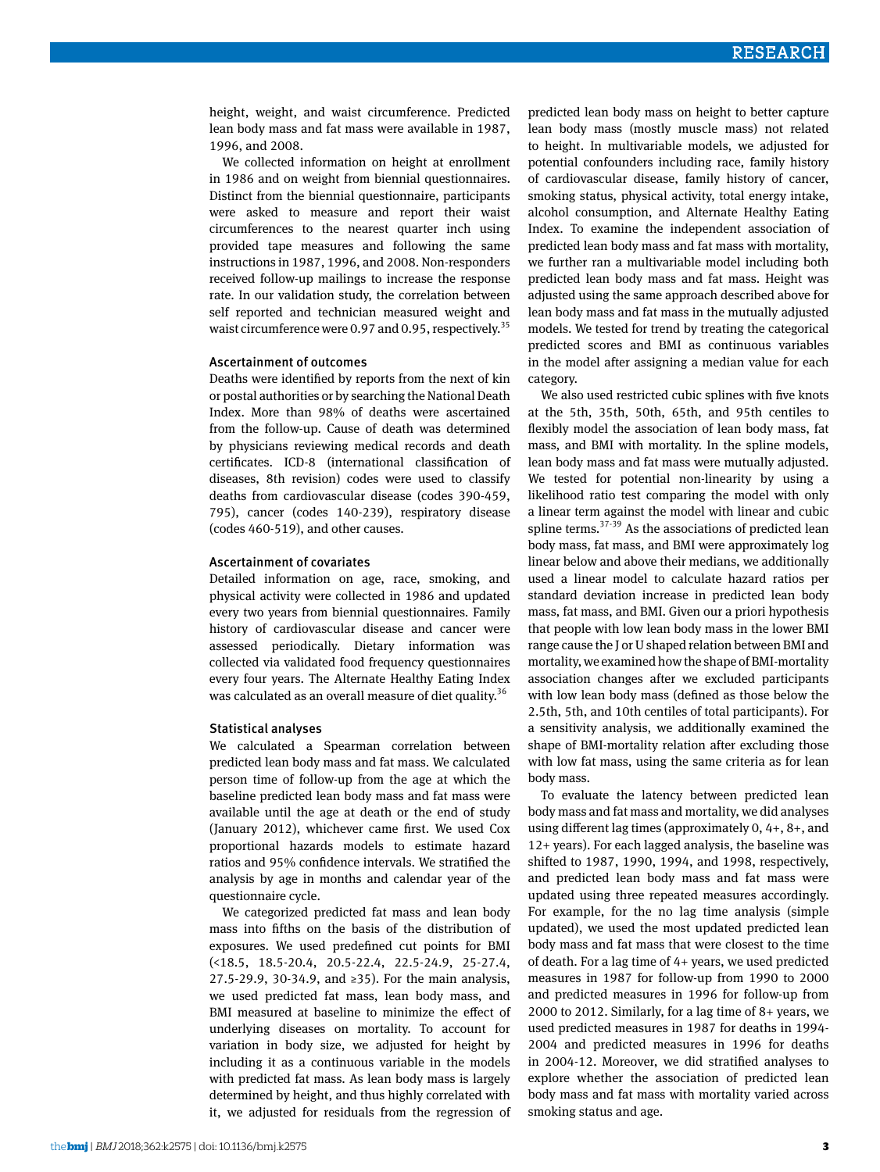height, weight, and waist circumference. Predicted lean body mass and fat mass were available in 1987, 1996, and 2008.

We collected information on height at enrollment in 1986 and on weight from biennial questionnaires. Distinct from the biennial questionnaire, participants were asked to measure and report their waist circumferences to the nearest quarter inch using provided tape measures and following the same instructions in 1987, 1996, and 2008. Non-responders received follow-up mailings to increase the response rate. In our validation study, the correlation between self reported and technician measured weight and waist circumference were 0.97 and 0.95, respectively.<sup>35</sup>

## Ascertainment of outcomes

Deaths were identified by reports from the next of kin or postal authorities or by searching the National Death Index. More than 98% of deaths were ascertained from the follow-up. Cause of death was determined by physicians reviewing medical records and death certificates. ICD-8 (international classification of diseases, 8th revision) codes were used to classify deaths from cardiovascular disease (codes 390-459, 795), cancer (codes 140-239), respiratory disease (codes 460-519), and other causes.

#### Ascertainment of covariates

Detailed information on age, race, smoking, and physical activity were collected in 1986 and updated every two years from biennial questionnaires. Family history of cardiovascular disease and cancer were assessed periodically. Dietary information was collected via validated food frequency questionnaires every four years. The Alternate Healthy Eating Index was calculated as an overall measure of diet quality.<sup>36</sup>

#### Statistical analyses

We calculated a Spearman correlation between predicted lean body mass and fat mass. We calculated person time of follow-up from the age at which the baseline predicted lean body mass and fat mass were available until the age at death or the end of study (January 2012), whichever came first. We used Cox proportional hazards models to estimate hazard ratios and 95% confidence intervals. We stratified the analysis by age in months and calendar year of the questionnaire cycle.

We categorized predicted fat mass and lean body mass into fifths on the basis of the distribution of exposures. We used predefined cut points for BMI (<18.5, 18.5-20.4, 20.5-22.4, 22.5-24.9, 25-27.4, 27.5-29.9, 30-34.9, and ≥35). For the main analysis, we used predicted fat mass, lean body mass, and BMI measured at baseline to minimize the effect of underlying diseases on mortality. To account for variation in body size, we adjusted for height by including it as a continuous variable in the models with predicted fat mass. As lean body mass is largely determined by height, and thus highly correlated with it, we adjusted for residuals from the regression of predicted lean body mass on height to better capture lean body mass (mostly muscle mass) not related to height. In multivariable models, we adjusted for potential confounders including race, family history of cardiovascular disease, family history of cancer, smoking status, physical activity, total energy intake, alcohol consumption, and Alternate Healthy Eating Index. To examine the independent association of predicted lean body mass and fat mass with mortality, we further ran a multivariable model including both predicted lean body mass and fat mass. Height was adjusted using the same approach described above for lean body mass and fat mass in the mutually adjusted models. We tested for trend by treating the categorical predicted scores and BMI as continuous variables in the model after assigning a median value for each category.

We also used restricted cubic splines with five knots at the 5th, 35th, 50th, 65th, and 95th centiles to flexibly model the association of lean body mass, fat mass, and BMI with mortality. In the spline models, lean body mass and fat mass were mutually adjusted. We tested for potential non-linearity by using a likelihood ratio test comparing the model with only a linear term against the model with linear and cubic spline terms. $37-39$  As the associations of predicted lean body mass, fat mass, and BMI were approximately log linear below and above their medians, we additionally used a linear model to calculate hazard ratios per standard deviation increase in predicted lean body mass, fat mass, and BMI. Given our a priori hypothesis that people with low lean body mass in the lower BMI range cause the J or U shaped relation between BMI and mortality, we examined how the shape of BMI-mortality association changes after we excluded participants with low lean body mass (defined as those below the 2.5th, 5th, and 10th centiles of total participants). For a sensitivity analysis, we additionally examined the shape of BMI-mortality relation after excluding those with low fat mass, using the same criteria as for lean body mass.

To evaluate the latency between predicted lean body mass and fat mass and mortality, we did analyses using different lag times (approximately 0, 4+, 8+, and 12+ years). For each lagged analysis, the baseline was shifted to 1987, 1990, 1994, and 1998, respectively, and predicted lean body mass and fat mass were updated using three repeated measures accordingly. For example, for the no lag time analysis (simple updated), we used the most updated predicted lean body mass and fat mass that were closest to the time of death. For a lag time of 4+ years, we used predicted measures in 1987 for follow-up from 1990 to 2000 and predicted measures in 1996 for follow-up from 2000 to 2012. Similarly, for a lag time of 8+ years, we used predicted measures in 1987 for deaths in 1994- 2004 and predicted measures in 1996 for deaths in 2004-12. Moreover, we did stratified analyses to explore whether the association of predicted lean body mass and fat mass with mortality varied across smoking status and age.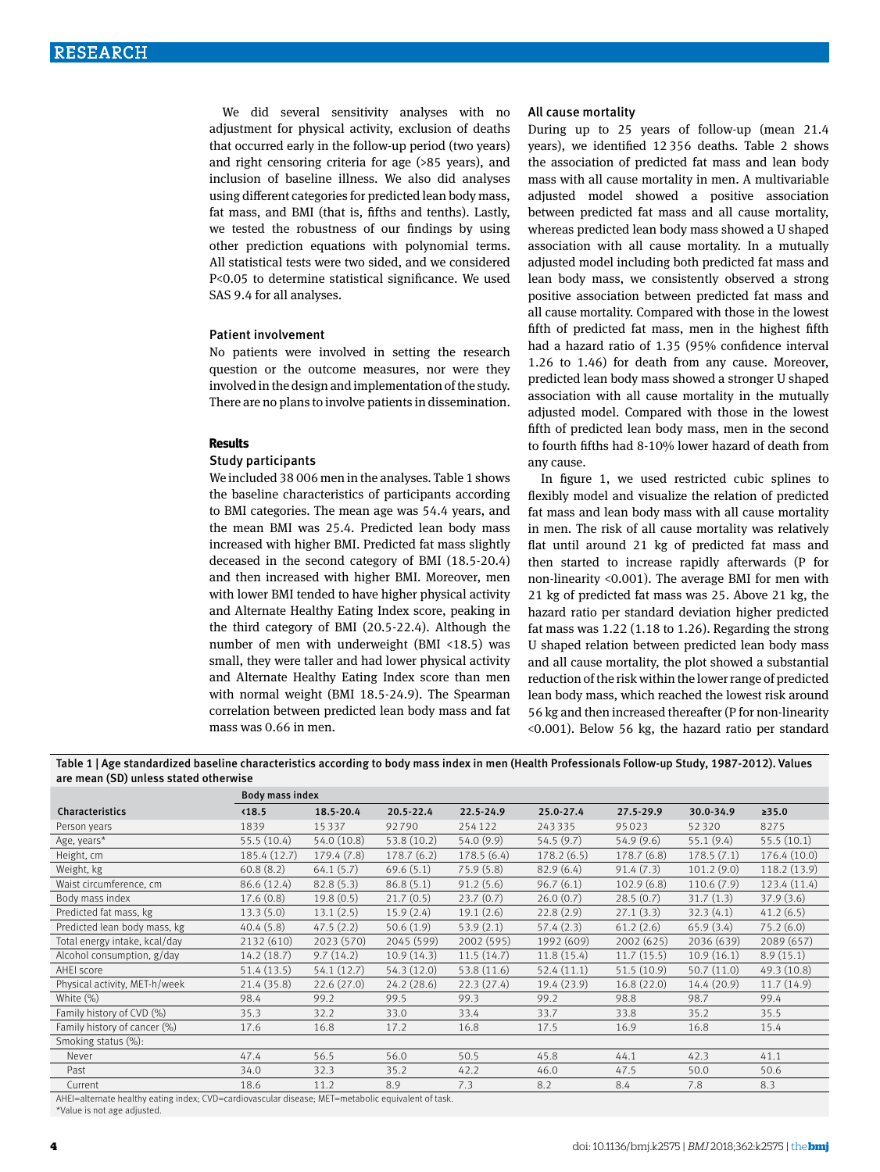We did several sensitivity analyses with no adjustment for physical activity, exclusion of deaths that occurred early in the follow-up period (two years) and right censoring criteria for age (>85 years), and inclusion of baseline illness. We also did analyses using different categories for predicted lean body mass, fat mass, and BMI (that is, fifths and tenths). Lastly, we tested the robustness of our findings by using other prediction equations with polynomial terms. All statistical tests were two sided, and we considered P<0.05 to determine statistical significance. We used SAS 9.4 for all analyses.

#### Patient involvement

No patients were involved in setting the research question or the outcome measures, nor were they involved in the design and implementation of the study. There are no plans to involve patients in dissemination.

#### **Results**

#### Study participants

We included 38 006 men in the analyses. Table 1 shows the baseline characteristics of participants according to BMI categories. The mean age was 54.4 years, and the mean BMI was 25.4. Predicted lean body mass increased with higher BMI. Predicted fat mass slightly deceased in the second category of BMI (18.5-20.4) and then increased with higher BMI. Moreover, men with lower BMI tended to have higher physical activity and Alternate Healthy Eating Index score, peaking in the third category of BMI (20.5-22.4). Although the number of men with underweight (BMI <18.5) was small, they were taller and had lower physical activity and Alternate Healthy Eating Index score than men with normal weight (BMI 18.5-24.9). The Spearman correlation between predicted lean body mass and fat mass was 0.66 in men.

#### All cause mortality

During up to 25 years of follow-up (mean 21.4 years), we identified 12 356 deaths. Table 2 shows the association of predicted fat mass and lean body mass with all cause mortality in men. A multivariable adjusted model showed a positive association between predicted fat mass and all cause mortality, whereas predicted lean body mass showed a U shaped association with all cause mortality. In a mutually adjusted model including both predicted fat mass and lean body mass, we consistently observed a strong positive association between predicted fat mass and all cause mortality. Compared with those in the lowest fifth of predicted fat mass, men in the highest fifth had a hazard ratio of 1.35 (95% confidence interval 1.26 to 1.46) for death from any cause. Moreover, predicted lean body mass showed a stronger U shaped association with all cause mortality in the mutually adjusted model. Compared with those in the lowest fifth of predicted lean body mass, men in the second to fourth fifths had 8-10% lower hazard of death from any cause.

In figure 1, we used restricted cubic splines to flexibly model and visualize the relation of predicted fat mass and lean body mass with all cause mortality in men. The risk of all cause mortality was relatively flat until around 21 kg of predicted fat mass and then started to increase rapidly afterwards (P for non-linearity <0.001). The average BMI for men with 21 kg of predicted fat mass was 25. Above 21 kg, the hazard ratio per standard deviation higher predicted fat mass was 1.22 (1.18 to 1.26). Regarding the strong U shaped relation between predicted lean body mass and all cause mortality, the plot showed a substantial reduction of the risk within the lower range of predicted lean body mass, which reached the lowest risk around 56 kg and then increased thereafter (P for non-linearity <0.001). Below 56 kg, the hazard ratio per standard

Table 1 | Age standardized baseline characteristics according to body mass index in men (Health Professionals Follow-up Study, 1987-2012). Values are mean (SD) unless stated otherwise

|                               | Body mass index |             |               |               |            |             |             |              |
|-------------------------------|-----------------|-------------|---------------|---------------|------------|-------------|-------------|--------------|
| <b>Characteristics</b>        | $18.5$          | 18.5-20.4   | $20.5 - 22.4$ | $22.5 - 24.9$ | 25.0-27.4  | 27.5-29.9   | 30.0-34.9   | ≥35.0        |
| Person years                  | 1839            | 15337       | 92790         | 254122        | 243335     | 95023       | 52320       | 8275         |
| Age, years*                   | 55.5 (10.4)     | 54.0 (10.8) | 53.8 (10.2)   | 54.0 (9.9)    | 54.5(9.7)  | 54.9(9.6)   | 55.1(9.4)   | 55.5(10.1)   |
| Height, cm                    | 185.4 (12.7)    | 179.4(7.8)  | 178.7(6.2)    | 178.5(6.4)    | 178.2(6.5) | 178.7 (6.8) | 178.5(7.1)  | 176.4(10.0)  |
| Weight, kg                    | 60.8(8.2)       | 64.1(5.7)   | 69.6(5.1)     | 75.9(5.8)     | 82.9(6.4)  | 91.4(7.3)   | 101.2(9.0)  | 118.2 (13.9) |
| Waist circumference, cm       | 86.6 (12.4)     | 82.8(5.3)   | 86.8(5.1)     | 91.2(5.6)     | 96.7(6.1)  | 102.9(6.8)  | 110.6(7.9)  | 123.4 (11.4) |
| Body mass index               | 17.6(0.8)       | 19.8(0.5)   | 21.7(0.5)     | 23.7(0.7)     | 26.0(0.7)  | 28.5(0.7)   | 31.7(1.3)   | 37.9(3.6)    |
| Predicted fat mass, kg        | 13.3(5.0)       | 13.1(2.5)   | 15.9(2.4)     | 19.1(2.6)     | 22.8(2.9)  | 27.1(3.3)   | 32.3(4.1)   | 41.2(6.5)    |
| Predicted lean body mass, kg  | 40.4(5.8)       | 47.5(2.2)   | 50.6(1.9)     | 53.9(2.1)     | 57.4(2.3)  | 61.2(2.6)   | 65.9(3.4)   | 75.2(6.0)    |
| Total energy intake, kcal/day | 2132 (610)      | 2023 (570)  | 2045 (599)    | 2002 (595)    | 1992 (609) | 2002 (625)  | 2036 (639)  | 2089 (657)   |
| Alcohol consumption, g/day    | 14.2 (18.7)     | 9.7(14.2)   | 10.9(14.3)    | 11.5(14.7)    | 11.8(15.4) | 11.7(15.5)  | 10.9(16.1)  | 8.9(15.1)    |
| AHEI score                    | 51.4 (13.5)     | 54.1 (12.7) | 54.3(12.0)    | 53.8 (11.6)   | 52.4(11.1) | 51.5(10.9)  | 50.7(11.0)  | 49.3 (10.8)  |
| Physical activity, MET-h/week | 21.4 (35.8)     | 22.6(27.0)  | 24.2(28.6)    | 22.3(27.4)    | 19.4(23.9) | 16.8(22.0)  | 14.4 (20.9) | 11.7 (14.9)  |
| White (%)                     | 98.4            | 99.2        | 99.5          | 99.3          | 99.2       | 98.8        | 98.7        | 99.4         |
| Family history of CVD (%)     | 35.3            | 32.2        | 33.0          | 33.4          | 33.7       | 33.8        | 35.2        | 35.5         |
| Family history of cancer (%)  | 17.6            | 16.8        | 17.2          | 16.8          | 17.5       | 16.9        | 16.8        | 15.4         |
| Smoking status (%):           |                 |             |               |               |            |             |             |              |
| Never                         | 47.4            | 56.5        | 56.0          | 50.5          | 45.8       | 44.1        | 42.3        | 41.1         |
| Past                          | 34.0            | 32.3        | 35.2          | 42.2          | 46.0       | 47.5        | 50.0        | 50.6         |
| Current                       | 18.6            | 11.2        | 8.9           | 7.3           | 8.2        | 8.4         | 7.8         | 8.3          |

AHEI=alternate healthy eating index; CVD=cardiovascular disease; MET=metabolic equivalent of task \*Value is not age adjusted.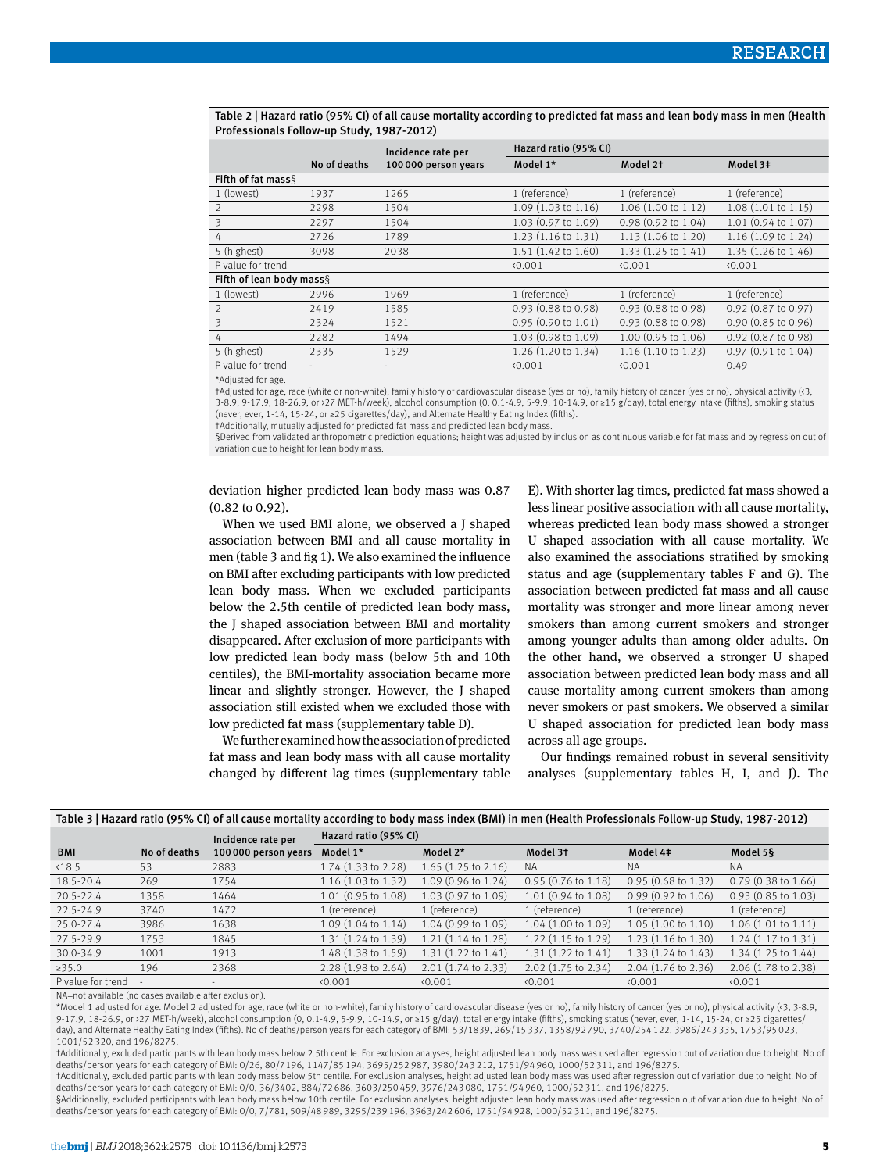Table 2 | Hazard ratio (95% CI) of all cause mortality according to predicted fat mass and lean body mass in men (Health Professionals Follow-up Study, 1987-2012)

|                           |              | Incidence rate per  | Hazard ratio (95% CI)         |                               |                               |  |  |
|---------------------------|--------------|---------------------|-------------------------------|-------------------------------|-------------------------------|--|--|
|                           | No of deaths | 100000 person years | Model 1*                      | Model 2 <sup>+</sup>          | Model 3‡                      |  |  |
| Fifth of fat mass§        |              |                     |                               |                               |                               |  |  |
| 1 (lowest)                | 1937         | 1265                | 1 (reference)                 | 1 (reference)                 | 1 (reference)                 |  |  |
| 2                         | 2298         | 1504                | $1.09(1.03 \text{ to } 1.16)$ | $1.06$ (1.00 to 1.12)         | $1.08(1.01 \text{ to } 1.15)$ |  |  |
| 3                         | 2297         | 1504                | 1.03 (0.97 to 1.09)           | 0.98 (0.92 to 1.04)           | 1.01 (0.94 to 1.07)           |  |  |
| 4                         | 2726         | 1789                | $1.23(1.16 \text{ to } 1.31)$ | 1.13 (1.06 to 1.20)           | 1.16 (1.09 to 1.24)           |  |  |
| 5 (highest)               | 3098         | 2038                | 1.51 (1.42 to 1.60)           | $1.33(1.25 \text{ to } 1.41)$ | 1.35 (1.26 to 1.46)           |  |  |
| P value for trend         |              |                     | (0.001)                       | (0.001)                       | (0.001)                       |  |  |
| Fifth of lean body mass § |              |                     |                               |                               |                               |  |  |
| 1 (lowest)                | 2996         | 1969                | 1 (reference)                 | 1 (reference)                 | 1 (reference)                 |  |  |
| 2                         | 2419         | 1585                | 0.93 (0.88 to 0.98)           | $0.93(0.88 \text{ to } 0.98)$ | 0.92 (0.87 to 0.97)           |  |  |
| 3                         | 2324         | 1521                | 0.95 (0.90 to 1.01)           | $0.93(0.88 \text{ to } 0.98)$ | 0.90 (0.85 to 0.96)           |  |  |
| 4                         | 2282         | 1494                | 1.03 (0.98 to 1.09)           | 1.00 (0.95 to 1.06)           | 0.92 (0.87 to 0.98)           |  |  |
| 5 (highest)               | 2335         | 1529                | 1.26 (1.20 to 1.34)           | 1.16(1.10 to 1.23)            | 0.97 (0.91 to 1.04)           |  |  |
| P value for trend         |              |                     | (0.001)                       | (0.001)                       | 0.49                          |  |  |

\*Adjusted for age.

†Adjusted for age, race (white or non-white), family history of cardiovascular disease (yes or no), family history of cancer (yes or no), physical activity (<3, 3-8.9, 9-17.9, 18-26.9, or >27 MET-h/week), alcohol consumption (0, 0.1-4.9, 5-9.9, 10-14.9, or ≥15 g/day), total energy intake (fifths), smoking status (never, ever, 1-14, 15-24, or ≥25 cigarettes/day), and Alternate Healthy Eating Index (fifths).

‡Additionally, mutually adjusted for predicted fat mass and predicted lean body mass.

§Derived from validated anthropometric prediction equations; height was adjusted by inclusion as continuous variable for fat mass and by regression out of variation due to height for lean body mass.

deviation higher predicted lean body mass was 0.87 (0.82 to 0.92).

When we used BMI alone, we observed a I shaped association between BMI and all cause mortality in men (table 3 and fig 1). We also examined the influence on BMI after excluding participants with low predicted lean body mass. When we excluded participants below the 2.5th centile of predicted lean body mass, the J shaped association between BMI and mortality disappeared. After exclusion of more participants with low predicted lean body mass (below 5th and 10th centiles), the BMI-mortality association became more linear and slightly stronger. However, the J shaped association still existed when we excluded those with low predicted fat mass (supplementary table D).

We further examined how the association of predicted fat mass and lean body mass with all cause mortality changed by different lag times (supplementary table

E). With shorter lag times, predicted fat mass showed a less linear positive association with all cause mortality, whereas predicted lean body mass showed a stronger U shaped association with all cause mortality. We also examined the associations stratified by smoking status and age (supplementary tables F and G). The association between predicted fat mass and all cause mortality was stronger and more linear among never smokers than among current smokers and stronger among younger adults than among older adults. On the other hand, we observed a stronger U shaped association between predicted lean body mass and all cause mortality among current smokers than among never smokers or past smokers. We observed a similar U shaped association for predicted lean body mass across all age groups.

Our findings remained robust in several sensitivity analyses (supplementary tables H, I, and J). The

| Table 3   Hazard ratio (95% CI) of all cause mortality according to body mass index (BMI) in men (Health Professionals Follow-up Study, 1987-2012) |                    |                       |                               |                               |                       |                               |                               |  |
|----------------------------------------------------------------------------------------------------------------------------------------------------|--------------------|-----------------------|-------------------------------|-------------------------------|-----------------------|-------------------------------|-------------------------------|--|
|                                                                                                                                                    | Incidence rate per | Hazard ratio (95% CI) |                               |                               |                       |                               |                               |  |
| <b>BMI</b>                                                                                                                                         | No of deaths       | 100000 person years   | Model 1*                      | Model 2*                      | Model 3t              | Model 4‡                      | Model 5§                      |  |
| < 18.5                                                                                                                                             | 53                 | 2883                  | 1.74 (1.33 to 2.28)           | $1.65(1.25 \text{ to } 2.16)$ | <b>NA</b>             | <b>NA</b>                     | <b>NA</b>                     |  |
| 18.5-20.4                                                                                                                                          | 269                | 1754                  | 1.16(1.03 to 1.32)            | 1.09 (0.96 to 1.24)           | $0.95$ (0.76 to 1.18) | $0.95(0.68 \text{ to } 1.32)$ | $0.79(0.38 \text{ to } 1.66)$ |  |
| $20.5 - 22.4$                                                                                                                                      | 1358               | 1464                  | 1.01 (0.95 to 1.08)           | 1.03 (0.97 to 1.09)           | 1.01 (0.94 to 1.08)   | $0.99(0.92 \text{ to } 1.06)$ | $0.93(0.85 \text{ to } 1.03)$ |  |
| 22.5-24.9                                                                                                                                          | 3740               | 1472                  | 1 (reference)                 | 1 (reference)                 | 1 (reference)         | 1 (reference)                 | 1 (reference)                 |  |
| 25.0-27.4                                                                                                                                          | 3986               | 1638                  | $1.09(1.04 \text{ to } 1.14)$ | 1.04 (0.99 to 1.09)           | 1.04 (1.00 to 1.09)   | 1.05(1.00 to 1.10)            | 1.06(1.01 to 1.11)            |  |
| 27.5-29.9                                                                                                                                          | 1753               | 1845                  | 1.31 (1.24 to 1.39)           | 1.21 (1.14 to 1.28)           | 1.22 (1.15 to 1.29)   | $1.23(1.16 \text{ to } 1.30)$ | $1.24$ $(1.17$ to $1.31)$     |  |
| 30.0-34.9                                                                                                                                          | 1001               | 1913                  | 1.48 (1.38 to 1.59)           | 1.31 (1.22 to 1.41)           | 1.31 (1.22 to 1.41)   | $1.33(1.24 \text{ to } 1.43)$ | $1.34(1.25 \text{ to } 1.44)$ |  |
| $\ge 35.0$                                                                                                                                         | 196                | 2368                  | 2.28 (1.98 to 2.64)           | 2.01 (1.74 to 2.33)           | 2.02 (1.75 to 2.34)   | 2.04 (1.76 to 2.36)           | 2.06 (1.78 to 2.38)           |  |
| P value for trend                                                                                                                                  |                    |                       | (0.001)                       | 0.001                         | 0.001                 | 0.001                         | 0.001                         |  |

NA=not available (no cases available after exclusion).

\*Model 1 adjusted for age. Model 2 adjusted for age, race (white or non-white), family history of cardiovascular disease (yes or no), family history of cancer (yes or no), physical activity (<3, 3-8.9, 9-17.9, 18-26.9, or >27 MET-h/week), alcohol consumption (0, 0.1-4.9, 5-9.9, 10-14.9, or ≥15 g/day), total energy intake (fifths), smoking status (never, ever, 1-14, 15-24, or ≥25 cigarettes/ day), and Alternate Healthy Eating Index (fifths). No of deaths/person years for each category of BMI: 53/1839, 269/15 337, 1358/92 790, 3740/254 122, 3986/243 335, 1753/95 023, 1001/52 320, and 196/8275.

†Additionally, excluded participants with lean body mass below 2.5th centile. For exclusion analyses, height adjusted lean body mass was used after regression out of variation due to height. No of deaths/person years for each category of BMI: 0/26, 80/7196, 1147/85 194, 3695/252 987, 3980/243 212, 1751/94 960, 1000/52 311, and 196/8275.

‡Additionally, excluded participants with lean body mass below 5th centile. For exclusion analyses, height adjusted lean body mass was used after regression out of variation due to height. No of deaths/person years for each category of BMI: 0/0, 36/3402, 884/72 686, 3603/250 459, 3976/243 080, 1751/94 960, 1000/52 311, and 196/8275.

§Additionally, excluded participants with lean body mass below 10th centile. For exclusion analyses, height adjusted lean body mass was used after regression out of variation due to height. No of deaths/person years for each category of BMI: 0/0, 7/781, 509/48 989, 3295/239 196, 3963/242 606, 1751/94 928, 1000/52 311, and 196/8275.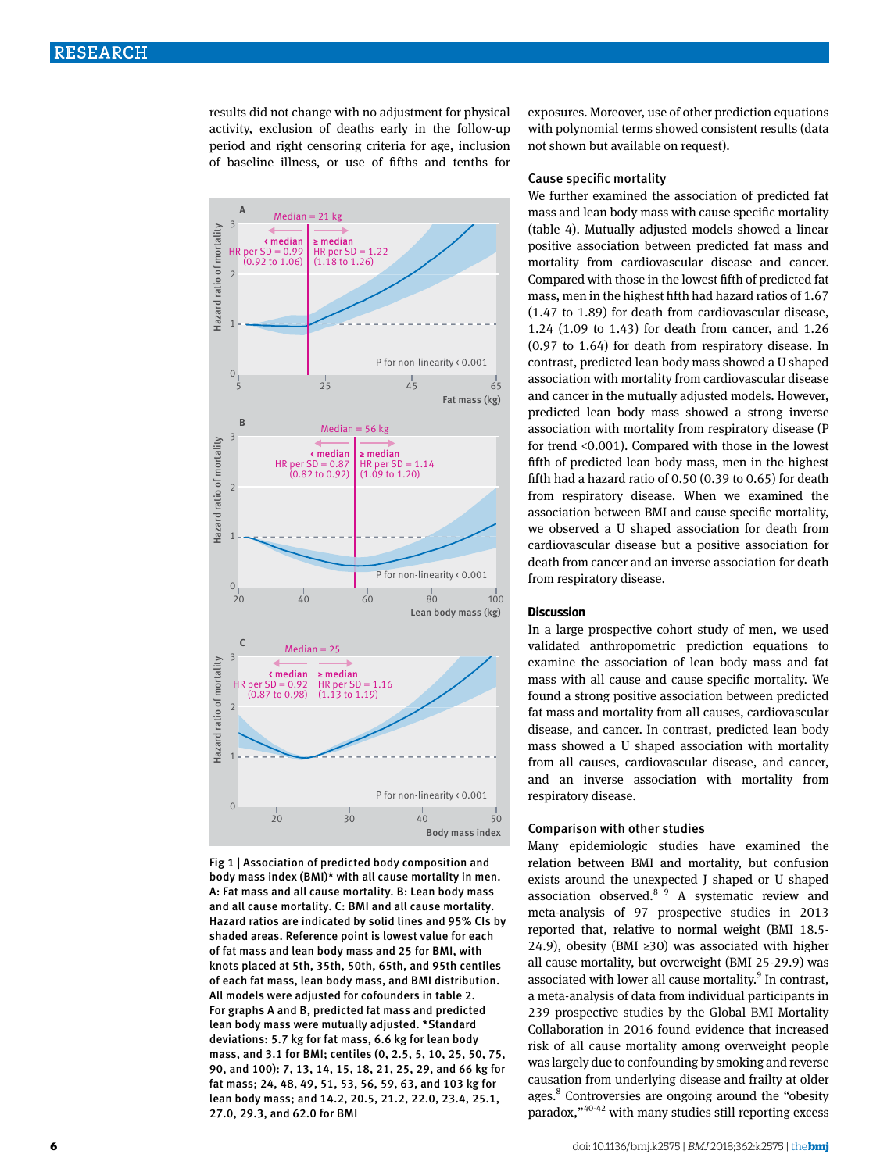results did not change with no adjustment for physical activity, exclusion of deaths early in the follow-up period and right censoring criteria for age, inclusion of baseline illness, or use of fifths and tenths for



Fig 1 | Association of predicted body composition and body mass index (BMI)\* with all cause mortality in men. A: Fat mass and all cause mortality. B: Lean body mass and all cause mortality. C: BMI and all cause mortality. Hazard ratios are indicated by solid lines and 95% CIs by shaded areas. Reference point is lowest value for each of fat mass and lean body mass and 25 for BMI, with knots placed at 5th, 35th, 50th, 65th, and 95th centiles of each fat mass, lean body mass, and BMI distribution. All models were adjusted for cofounders in table 2. For graphs A and B, predicted fat mass and predicted lean body mass were mutually adjusted. \*Standard deviations: 5.7 kg for fat mass, 6.6 kg for lean body mass, and 3.1 for BMI; centiles (0, 2.5, 5, 10, 25, 50, 75, 90, and 100): 7, 13, 14, 15, 18, 21, 25, 29, and 66 kg for fat mass; 24, 48, 49, 51, 53, 56, 59, 63, and 103 kg for lean body mass; and 14.2, 20.5, 21.2, 22.0, 23.4, 25.1, 27.0, 29.3, and 62.0 for BMI

exposures. Moreover, use of other prediction equations with polynomial terms showed consistent results (data not shown but available on request).

## Cause specific mortality

We further examined the association of predicted fat mass and lean body mass with cause specific mortality (table 4). Mutually adjusted models showed a linear positive association between predicted fat mass and mortality from cardiovascular disease and cancer. Compared with those in the lowest fifth of predicted fat mass, men in the highest fifth had hazard ratios of 1.67 (1.47 to 1.89) for death from cardiovascular disease, 1.24 (1.09 to 1.43) for death from cancer, and 1.26 (0.97 to 1.64) for death from respiratory disease. In contrast, predicted lean body mass showed a U shaped association with mortality from cardiovascular disease and cancer in the mutually adjusted models. However, predicted lean body mass showed a strong inverse association with mortality from respiratory disease (P for trend <0.001). Compared with those in the lowest fifth of predicted lean body mass, men in the highest fifth had a hazard ratio of 0.50 (0.39 to 0.65) for death from respiratory disease. When we examined the association between BMI and cause specific mortality, we observed a U shaped association for death from cardiovascular disease but a positive association for death from cancer and an inverse association for death from respiratory disease.

## **Discussion**

In a large prospective cohort study of men, we used validated anthropometric prediction equations to examine the association of lean body mass and fat mass with all cause and cause specific mortality. We found a strong positive association between predicted fat mass and mortality from all causes, cardiovascular disease, and cancer. In contrast, predicted lean body mass showed a U shaped association with mortality from all causes, cardiovascular disease, and cancer, and an inverse association with mortality from respiratory disease.

# Comparison with other studies

Many epidemiologic studies have examined the relation between BMI and mortality, but confusion exists around the unexpected J shaped or U shaped association observed.<sup>8 9</sup> A systematic review and meta-analysis of 97 prospective studies in 2013 reported that, relative to normal weight (BMI 18.5- 24.9), obesity (BMI ≥30) was associated with higher all cause mortality, but overweight (BMI 25-29.9) was associated with lower all cause mortality.<sup>9</sup> In contrast, a meta-analysis of data from individual participants in 239 prospective studies by the Global BMI Mortality Collaboration in 2016 found evidence that increased risk of all cause mortality among overweight people was largely due to confounding by smoking and reverse causation from underlying disease and frailty at older ages.<sup>8</sup> Controversies are ongoing around the "obesity paradox,"40-42 with many studies still reporting excess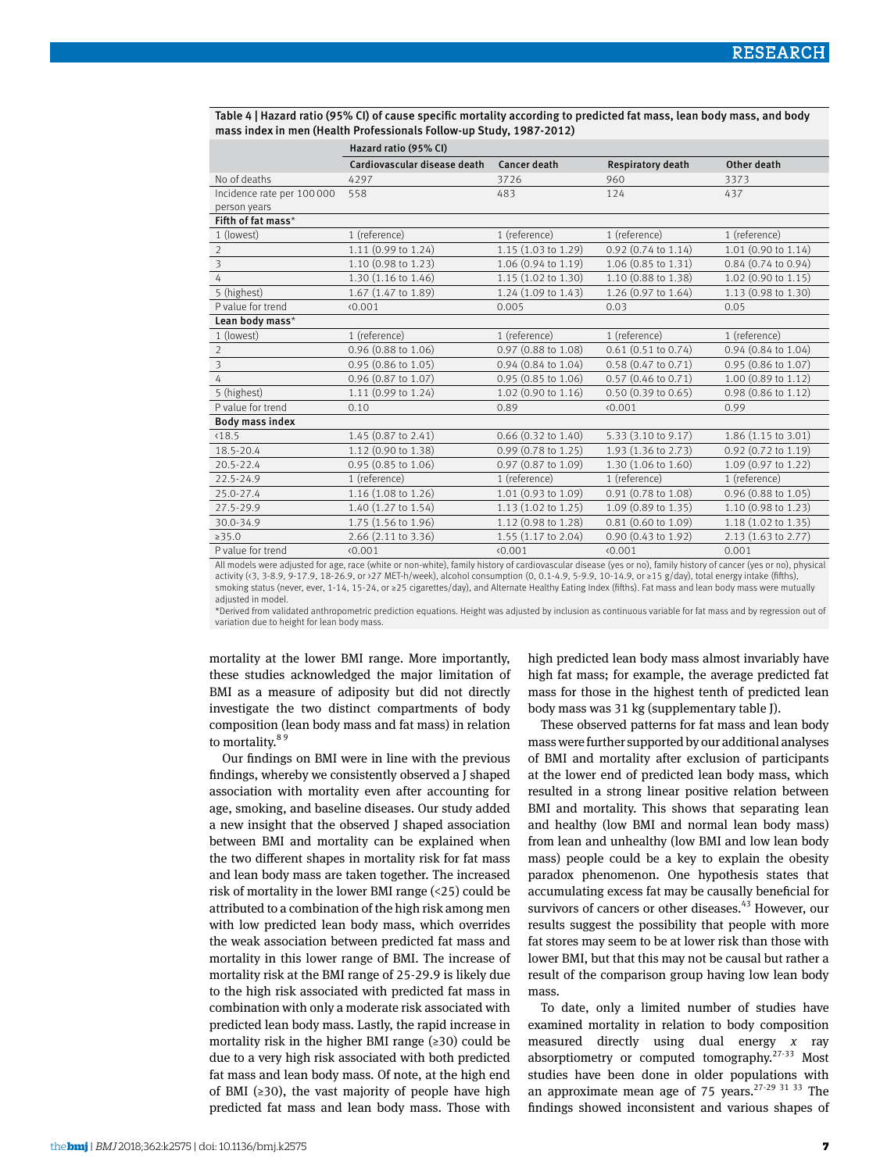|                           | Hazard ratio (95% CI)         |                               |                               |                               |  |  |  |
|---------------------------|-------------------------------|-------------------------------|-------------------------------|-------------------------------|--|--|--|
|                           | Cardiovascular disease death  | Cancer death                  | Respiratory death             | Other death                   |  |  |  |
| No of deaths              | 4297                          | 3726                          | 960                           | 3373                          |  |  |  |
| Incidence rate per 100000 | 558                           | 483                           | 124                           | 437                           |  |  |  |
| person years              |                               |                               |                               |                               |  |  |  |
| Fifth of fat mass*        |                               |                               |                               |                               |  |  |  |
| 1 (lowest)                | 1 (reference)                 | 1 (reference)                 | 1 (reference)                 | 1 (reference)                 |  |  |  |
| $\overline{2}$            | 1.11 (0.99 to 1.24)           | 1.15 (1.03 to 1.29)           | $0.92$ (0.74 to 1.14)         | 1.01 (0.90 to 1.14)           |  |  |  |
| $\overline{\mathbf{3}}$   | 1.10 (0.98 to 1.23)           | 1.06 (0.94 to 1.19)           | 1.06 (0.85 to 1.31)           | $0.84$ (0.74 to 0.94)         |  |  |  |
| 4                         | 1.30 (1.16 to 1.46)           | 1.15 (1.02 to 1.30)           | 1.10 (0.88 to 1.38)           | $1.02$ (0.90 to $1.15$ )      |  |  |  |
| 5 (highest)               | 1.67 (1.47 to 1.89)           | $1.24(1.09 \text{ to } 1.43)$ | 1.26 (0.97 to 1.64)           | 1.13 (0.98 to 1.30)           |  |  |  |
| P value for trend         | 0.001                         | 0.005                         | 0.03                          | 0.05                          |  |  |  |
| Lean body mass*           |                               |                               |                               |                               |  |  |  |
| 1 (lowest)                | 1 (reference)                 | 1 (reference)                 | 1 (reference)                 | 1 (reference)                 |  |  |  |
| $\overline{2}$            | 0.96 (0.88 to 1.06)           | 0.97 (0.88 to 1.08)           | $0.61$ $(0.51$ to $0.74)$     | $0.94$ (0.84 to 1.04)         |  |  |  |
| $\overline{\mathbf{3}}$   | $0.95(0.86 \text{ to } 1.05)$ | $0.94$ (0.84 to 1.04)         | 0.58 (0.47 to 0.71)           | $0.95$ (0.86 to 1.07)         |  |  |  |
| 4                         | 0.96 (0.87 to 1.07)           | 0.95 (0.85 to 1.06)           | $0.57$ (0.46 to 0.71)         | 1.00 (0.89 to 1.12)           |  |  |  |
| 5 (highest)               | 1.11 (0.99 to 1.24)           | 1.02 (0.90 to 1.16)           | 0.50(0.39 to 0.65)            | 0.98 (0.86 to 1.12)           |  |  |  |
| P value for trend         | 0.10                          | 0.89                          | (0.001)                       | 0.99                          |  |  |  |
| Body mass index           |                               |                               |                               |                               |  |  |  |
| $18.5$                    | $1.45$ (0.87 to 2.41)         | $0.66$ $(0.32$ to $1.40)$     | 5.33 (3.10 to 9.17)           | $1.86(1.15 \text{ to } 3.01)$ |  |  |  |
| 18.5-20.4                 | $1.12(0.90 \text{ to } 1.38)$ | $0.99(0.78 \text{ to } 1.25)$ | $1.93(1.36 \text{ to } 2.73)$ | $0.92(0.72)$ to 1.19)         |  |  |  |

Table 4 | Hazard ratio (95% CI) of cause specific mortality according to predicted fat mass, lean body mass, and body mass index in men (Health Professionals Follow-up Study, 1987-2012)

All models were adjusted for age, race (white or non-white), family history of cardiovascular disease (yes or no), family history of cancer (yes or no), physical activity (<3, 3-8.9, 9-17.9, 18-26.9, or >27 MET-h/week), alcohol consumption (0, 0.1-4.9, 5-9.9, 10-14.9, or ≥15 g/day), total energy intake (fifths), smoking status (never, ever, 1-14, 15-24, or ≥25 cigarettes/day), and Alternate Healthy Eating Index (fifths). Fat mass and lean body mass were mutually adjusted in model.

20.5-22.4 0.95 (0.85 to 1.06) 0.97 (0.87 to 1.09) 1.30 (1.06 to 1.60) 1.09 (0.97 to 1.22) 22.5-24.9 1 (reference) 1 (reference) 1 (reference) 1 (reference) 25.0-27.4 1.16 (1.08 to 1.26) 1.01 (0.93 to 1.09) 0.91 (0.78 to 1.08) 0.96 (0.88 to 1.05) 27.5-29.9 1.40 (1.27 to 1.54) 1.13 (1.02 to 1.25) 1.09 (0.89 to 1.35) 1.10 (0.98 to 1.23) 30.0-34.9 1.75 (1.56 to 1.96) 1.12 (0.98 to 1.28) 0.81 (0.60 to 1.09) 1.18 (1.02 to 1.35) ≥35.0 2.66 (2.11 to 3.36) 1.55 (1.17 to 2.04) 0.90 (0.43 to 1.92) 2.13 (1.63 to 2.77)

P value for trend  $(0.001$   $(0.001$   $0.001$   $(0.001$   $0.001$   $(0.001$ 

\*Derived from validated anthropometric prediction equations. Height was adjusted by inclusion as continuous variable for fat mass and by regression out of variation due to height for lean body mass.

mortality at the lower BMI range. More importantly, these studies acknowledged the major limitation of BMI as a measure of adiposity but did not directly investigate the two distinct compartments of body composition (lean body mass and fat mass) in relation to mortality.<sup>89</sup>

Our findings on BMI were in line with the previous findings, whereby we consistently observed a J shaped association with mortality even after accounting for age, smoking, and baseline diseases. Our study added a new insight that the observed J shaped association between BMI and mortality can be explained when the two different shapes in mortality risk for fat mass and lean body mass are taken together. The increased risk of mortality in the lower BMI range (<25) could be attributed to a combination of the high risk among men with low predicted lean body mass, which overrides the weak association between predicted fat mass and mortality in this lower range of BMI. The increase of mortality risk at the BMI range of 25-29.9 is likely due to the high risk associated with predicted fat mass in combination with only a moderate risk associated with predicted lean body mass. Lastly, the rapid increase in mortality risk in the higher BMI range (≥30) could be due to a very high risk associated with both predicted fat mass and lean body mass. Of note, at the high end of BMI ( $\geq$ 30), the vast majority of people have high predicted fat mass and lean body mass. Those with

high predicted lean body mass almost invariably have high fat mass; for example, the average predicted fat mass for those in the highest tenth of predicted lean body mass was 31 kg (supplementary table J).

These observed patterns for fat mass and lean body mass were further supported by our additional analyses of BMI and mortality after exclusion of participants at the lower end of predicted lean body mass, which resulted in a strong linear positive relation between BMI and mortality. This shows that separating lean and healthy (low BMI and normal lean body mass) from lean and unhealthy (low BMI and low lean body mass) people could be a key to explain the obesity paradox phenomenon. One hypothesis states that accumulating excess fat may be causally beneficial for survivors of cancers or other diseases.<sup>43</sup> However, our results suggest the possibility that people with more fat stores may seem to be at lower risk than those with lower BMI, but that this may not be causal but rather a result of the comparison group having low lean body mass.

To date, only a limited number of studies have examined mortality in relation to body composition measured directly using dual energy *x* ray absorptiometry or computed tomography.27-33 Most studies have been done in older populations with an approximate mean age of 75 years. $27-29$  31 33 The findings showed inconsistent and various shapes of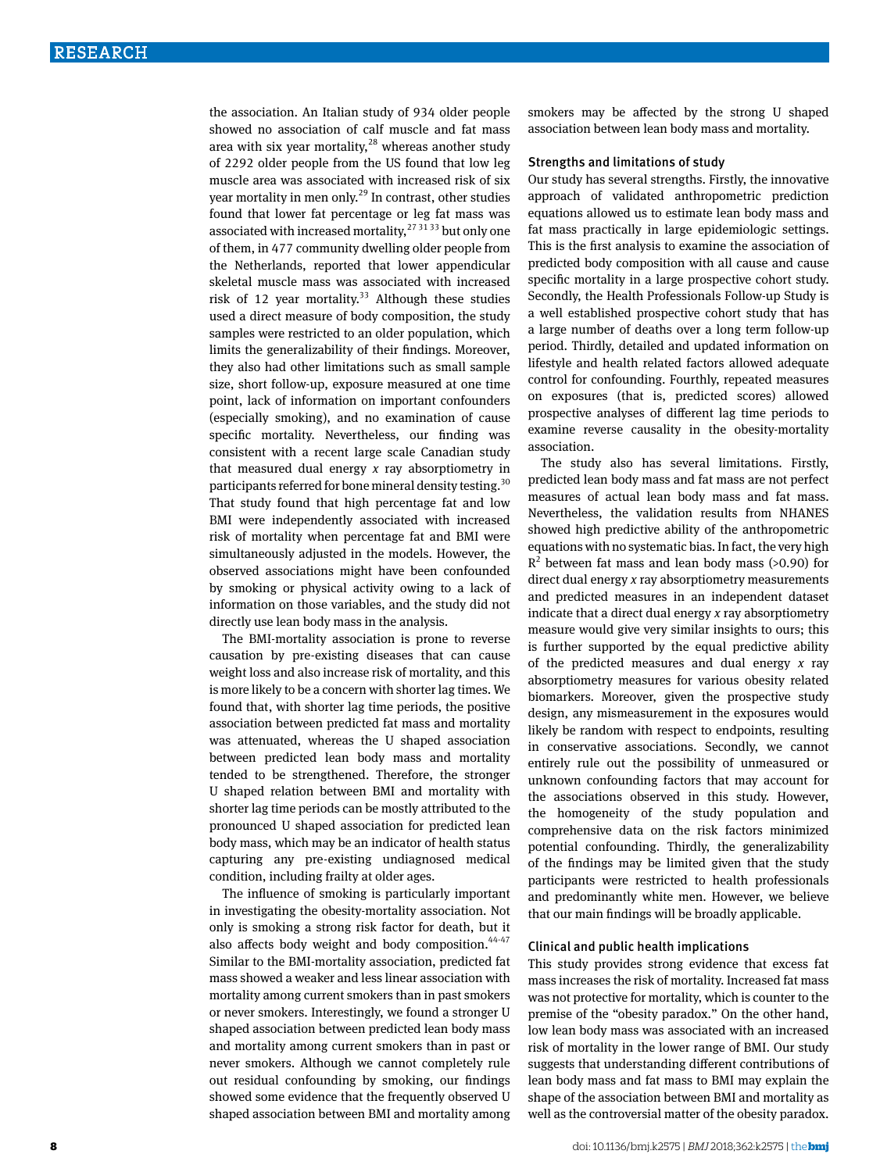the association. An Italian study of 934 older people showed no association of calf muscle and fat mass area with six year mortality, $28$  whereas another study of 2292 older people from the US found that low leg muscle area was associated with increased risk of six year mortality in men only.<sup>29</sup> In contrast, other studies found that lower fat percentage or leg fat mass was associated with increased mortality,  $273133$  but only one of them, in 477 community dwelling older people from the Netherlands, reported that lower appendicular skeletal muscle mass was associated with increased risk of 12 year mortality.<sup>33</sup> Although these studies used a direct measure of body composition, the study samples were restricted to an older population, which limits the generalizability of their findings. Moreover, they also had other limitations such as small sample size, short follow-up, exposure measured at one time point, lack of information on important confounders (especially smoking), and no examination of cause specific mortality. Nevertheless, our finding was consistent with a recent large scale Canadian study that measured dual energy *x* ray absorptiometry in participants referred for bone mineral density testing.<sup>30</sup> That study found that high percentage fat and low BMI were independently associated with increased risk of mortality when percentage fat and BMI were simultaneously adjusted in the models. However, the observed associations might have been confounded by smoking or physical activity owing to a lack of information on those variables, and the study did not directly use lean body mass in the analysis.

The BMI-mortality association is prone to reverse causation by pre-existing diseases that can cause weight loss and also increase risk of mortality, and this is more likely to be a concern with shorter lag times. We found that, with shorter lag time periods, the positive association between predicted fat mass and mortality was attenuated, whereas the U shaped association between predicted lean body mass and mortality tended to be strengthened. Therefore, the stronger U shaped relation between BMI and mortality with shorter lag time periods can be mostly attributed to the pronounced U shaped association for predicted lean body mass, which may be an indicator of health status capturing any pre-existing undiagnosed medical condition, including frailty at older ages.

The influence of smoking is particularly important in investigating the obesity-mortality association. Not only is smoking a strong risk factor for death, but it also affects body weight and body composition.<sup>44-47</sup> Similar to the BMI-mortality association, predicted fat mass showed a weaker and less linear association with mortality among current smokers than in past smokers or never smokers. Interestingly, we found a stronger U shaped association between predicted lean body mass and mortality among current smokers than in past or never smokers. Although we cannot completely rule out residual confounding by smoking, our findings showed some evidence that the frequently observed U shaped association between BMI and mortality among smokers may be affected by the strong U shaped association between lean body mass and mortality.

#### Strengths and limitations of study

Our study has several strengths. Firstly, the innovative approach of validated anthropometric prediction equations allowed us to estimate lean body mass and fat mass practically in large epidemiologic settings. This is the first analysis to examine the association of predicted body composition with all cause and cause specific mortality in a large prospective cohort study. Secondly, the Health Professionals Follow-up Study is a well established prospective cohort study that has a large number of deaths over a long term follow-up period. Thirdly, detailed and updated information on lifestyle and health related factors allowed adequate control for confounding. Fourthly, repeated measures on exposures (that is, predicted scores) allowed prospective analyses of different lag time periods to examine reverse causality in the obesity-mortality association.

The study also has several limitations. Firstly, predicted lean body mass and fat mass are not perfect measures of actual lean body mass and fat mass. Nevertheless, the validation results from NHANES showed high predictive ability of the anthropometric equations with no systematic bias. In fact, the very high  $R<sup>2</sup>$  between fat mass and lean body mass (>0.90) for direct dual energy *x* ray absorptiometry measurements and predicted measures in an independent dataset indicate that a direct dual energy *x* ray absorptiometry measure would give very similar insights to ours; this is further supported by the equal predictive ability of the predicted measures and dual energy *x* ray absorptiometry measures for various obesity related biomarkers. Moreover, given the prospective study design, any mismeasurement in the exposures would likely be random with respect to endpoints, resulting in conservative associations. Secondly, we cannot entirely rule out the possibility of unmeasured or unknown confounding factors that may account for the associations observed in this study. However, the homogeneity of the study population and comprehensive data on the risk factors minimized potential confounding. Thirdly, the generalizability of the findings may be limited given that the study participants were restricted to health professionals and predominantly white men. However, we believe that our main findings will be broadly applicable.

#### Clinical and public health implications

This study provides strong evidence that excess fat mass increases the risk of mortality. Increased fat mass was not protective for mortality, which is counter to the premise of the "obesity paradox." On the other hand, low lean body mass was associated with an increased risk of mortality in the lower range of BMI. Our study suggests that understanding different contributions of lean body mass and fat mass to BMI may explain the shape of the association between BMI and mortality as well as the controversial matter of the obesity paradox.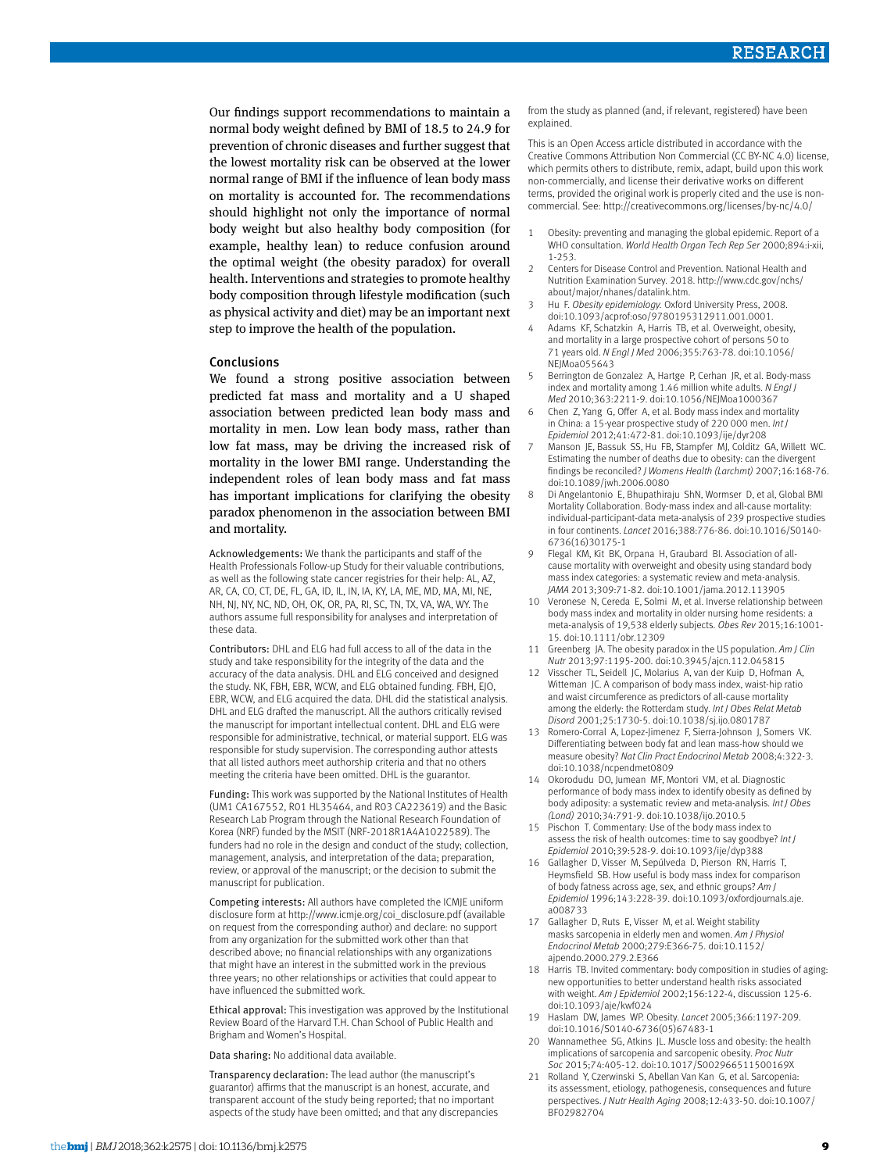Our findings support recommendations to maintain a normal body weight defined by BMI of 18.5 to 24.9 for prevention of chronic diseases and further suggest that the lowest mortality risk can be observed at the lower normal range of BMI if the influence of lean body mass on mortality is accounted for. The recommendations should highlight not only the importance of normal body weight but also healthy body composition (for example, healthy lean) to reduce confusion around the optimal weight (the obesity paradox) for overall health. Interventions and strategies to promote healthy body composition through lifestyle modification (such as physical activity and diet) may be an important next step to improve the health of the population.

#### Conclusions

We found a strong positive association between predicted fat mass and mortality and a U shaped association between predicted lean body mass and mortality in men. Low lean body mass, rather than low fat mass, may be driving the increased risk of mortality in the lower BMI range. Understanding the independent roles of lean body mass and fat mass has important implications for clarifying the obesity paradox phenomenon in the association between BMI and mortality.

Acknowledgements: We thank the participants and staff of the Health Professionals Follow-up Study for their valuable contributions, as well as the following state cancer registries for their help: AL, AZ, AR, CA, CO, CT, DE, FL, GA, ID, IL, IN, IA, KY, LA, ME, MD, MA, MI, NE, NH, NJ, NY, NC, ND, OH, OK, OR, PA, RI, SC, TN, TX, VA, WA, WY. The authors assume full responsibility for analyses and interpretation of these data.

Contributors: DHL and ELG had full access to all of the data in the study and take responsibility for the integrity of the data and the accuracy of the data analysis. DHL and ELG conceived and designed the study. NK, FBH, EBR, WCW, and ELG obtained funding. FBH, EJO, EBR, WCW, and ELG acquired the data. DHL did the statistical analysis. DHL and ELG drafted the manuscript. All the authors critically revised the manuscript for important intellectual content. DHL and ELG were responsible for administrative, technical, or material support. ELG was responsible for study supervision. The corresponding author attests that all listed authors meet authorship criteria and that no others meeting the criteria have been omitted. DHL is the guarantor.

Funding: This work was supported by the National Institutes of Health (UM1 CA167552, R01 HL35464, and R03 CA223619) and the Basic Research Lab Program through the National Research Foundation of Korea (NRF) funded by the MSIT (NRF-2018R1A4A1022589). The funders had no role in the design and conduct of the study; collection, management, analysis, and interpretation of the data; preparation, review, or approval of the manuscript; or the decision to submit the manuscript for publication.

Competing interests: All authors have completed the ICMJE uniform disclosure form at [http://www.icmje.org/coi\\_disclosure.pdf](http://www.icmje.org/coi_disclosure.pdf) (available on request from the corresponding author) and declare: no support from any organization for the submitted work other than that described above; no financial relationships with any organizations that might have an interest in the submitted work in the previous three years; no other relationships or activities that could appear to have influenced the submitted work.

Ethical approval: This investigation was approved by the Institutional Review Board of the Harvard T.H. Chan School of Public Health and Brigham and Women's Hospital.

Data sharing: No additional data available.

Transparency declaration: The lead author (the manuscript's guarantor) affirms that the manuscript is an honest, accurate, and transparent account of the study being reported; that no important aspects of the study have been omitted; and that any discrepancies from the study as planned (and, if relevant, registered) have been explained.

This is an Open Access article distributed in accordance with the Creative Commons Attribution Non Commercial (CC BY-NC 4.0) license, which permits others to distribute, remix, adapt, build upon this work non-commercially, and license their derivative works on different terms, provided the original work is properly cited and the use is noncommercial. See: http://creativecommons.org/licenses/by-nc/4.0/

- 1 Obesity: preventing and managing the global epidemic. Report of a WHO consultation. *World Health Organ Tech Rep Ser* 2000;894:i-xii, 1-253.
- 2 Centers for Disease Control and Prevention. National Health and Nutrition Examination Survey. 2018. [http://www.cdc.gov/nchs/](http://www.cdc.gov/nchs/about/major/nhanes/datalink.htm) [about/major/nhanes/datalink.htm.](http://www.cdc.gov/nchs/about/major/nhanes/datalink.htm)
- 3 Hu F. *Obesity epidemiology.* Oxford University Press, 2008. doi:10.1093/acprof:oso/9780195312911.001.0001.
- Adams KF, Schatzkin A, Harris TB, et al. Overweight, obesity, and mortality in a large prospective cohort of persons 50 to 71 years old. *N Engl J Med* 2006;355:763-78. doi:10.1056/ NEJMoa055643
- 5 Berrington de Gonzalez A, Hartge P, Cerhan JR, et al. Body-mass index and mortality among 1.46 million white adults. *N Engl J Med* 2010;363:2211-9. doi:10.1056/NEJMoa1000367
- Chen Z, Yang G, Offer A, et al. Body mass index and mortality in China: a 15-year prospective study of 220 000 men. *Int J Epidemiol* 2012;41:472-81. doi:10.1093/ije/dyr208
- 7 Manson JE, Bassuk SS, Hu FB, Stampfer MJ, Colditz GA, Willett WC. Estimating the number of deaths due to obesity: can the divergent findings be reconciled? *J Womens Health (Larchmt)* 2007;16:168-76. doi:10.1089/jwh.2006.0080
- 8 Di Angelantonio E, Bhupathiraju ShN, Wormser D, et al, Global BMI Mortality Collaboration. Body-mass index and all-cause mortality: individual-participant-data meta-analysis of 239 prospective studies in four continents. *Lancet* 2016;388:776-86. doi:10.1016/S0140- 6736(16)30175-1
- Flegal KM, Kit BK, Orpana H, Graubard BI. Association of allcause mortality with overweight and obesity using standard body mass index categories: a systematic review and meta-analysis. *JAMA* 2013;309:71-82. doi:10.1001/jama.2012.113905
- 10 Veronese N, Cereda E, Solmi M, et al. Inverse relationship between body mass index and mortality in older nursing home residents: a meta-analysis of 19,538 elderly subjects. *Obes Rev* 2015;16:1001- 15. doi:10.1111/obr.12309
- 11 Greenberg JA. The obesity paradox in the US population. *Am J Clin Nutr* 2013;97:1195-200. doi:10.3945/ajcn.112.045815
- 12 Visscher TL, Seidell JC, Molarius A, van der Kuip D, Hofman A Witteman JC. A comparison of body mass index, waist-hip ratio and waist circumference as predictors of all-cause mortality among the elderly: the Rotterdam study. *Int J Obes Relat Metab Disord* 2001;25:1730-5. doi:10.1038/sj.ijo.0801787
- 13 Romero-Corral A, Lopez-Jimenez F, Sierra-Johnson J, Somers VK. Differentiating between body fat and lean mass-how should we measure obesity? *Nat Clin Pract Endocrinol Metab* 2008;4:322-3. doi:10.1038/ncpendmet0809
- 14 Okorodudu DO, Jumean MF, Montori VM, et al. Diagnostic performance of body mass index to identify obesity as defined by body adiposity: a systematic review and meta-analysis. *Int J Obes (Lond)* 2010;34:791-9. doi:10.1038/ijo.2010.5
- 15 Pischon T. Commentary: Use of the body mass index to assess the risk of health outcomes: time to say goodbye? *Int J Epidemiol* 2010;39:528-9. doi:10.1093/ije/dyp388
- 16 Gallagher D, Visser M, Sepúlveda D, Pierson RN, Harris T, Heymsfield SB. How useful is body mass index for comparison of body fatness across age, sex, and ethnic groups? *Am J Epidemiol* 1996;143:228-39. doi:10.1093/oxfordjournals.aje. a008733
- 17 Gallagher D, Ruts E, Visser M, et al. Weight stability masks sarcopenia in elderly men and women. *Am J Physiol Endocrinol Metab* 2000;279:E366-75. doi:10.1152/ ajpendo.2000.279.2.E366
- 18 Harris TB. Invited commentary: body composition in studies of aging: new opportunities to better understand health risks associated with weight. *Am J Epidemiol* 2002;156:122-4, discussion 125-6. doi:10.1093/aje/kwf024
- 19 Haslam DW, James WP. Obesity. *Lancet* 2005;366:1197-209. doi:10.1016/S0140-6736(05)67483-1
- 20 Wannamethee SG, Atkins JL. Muscle loss and obesity: the health implications of sarcopenia and sarcopenic obesity. *Proc Nutr Soc* 2015;74:405-12. doi:10.1017/S002966511500169X
- 21 Rolland Y, Czerwinski S, Abellan Van Kan G, et al. Sarcopenia: its assessment, etiology, pathogenesis, consequences and future perspectives. *J Nutr Health Aging* 2008;12:433-50. doi:10.1007/ BF02982704